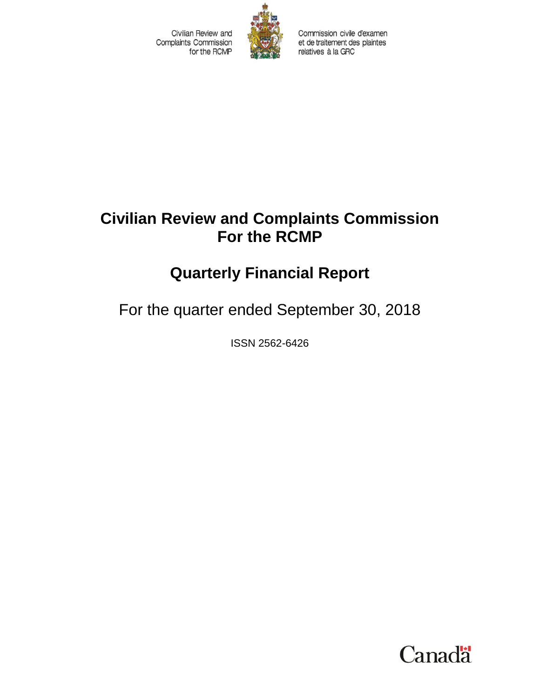Civilian Review and **Complaints Commission** for the RCMP



Commission civile d'examen et de traitement des plaintes relatives à la GRC

## **Civilian Review and Complaints Commission For the RCMP**

# **Quarterly Financial Report**

For the quarter ended September 30, 2018

ISSN 2562-6426

**Canada**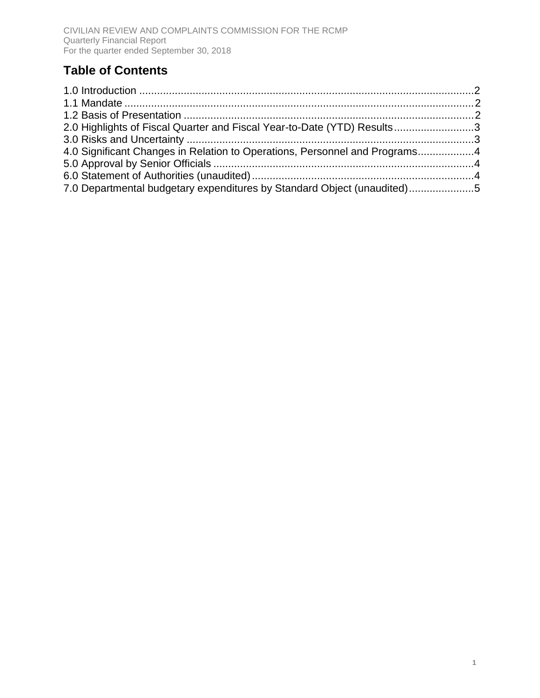#### **Table of Contents**

| 2.0 Highlights of Fiscal Quarter and Fiscal Year-to-Date (YTD) Results3    |  |
|----------------------------------------------------------------------------|--|
|                                                                            |  |
| 4.0 Significant Changes in Relation to Operations, Personnel and Programs4 |  |
|                                                                            |  |
|                                                                            |  |
| 7.0 Departmental budgetary expenditures by Standard Object (unaudited)5    |  |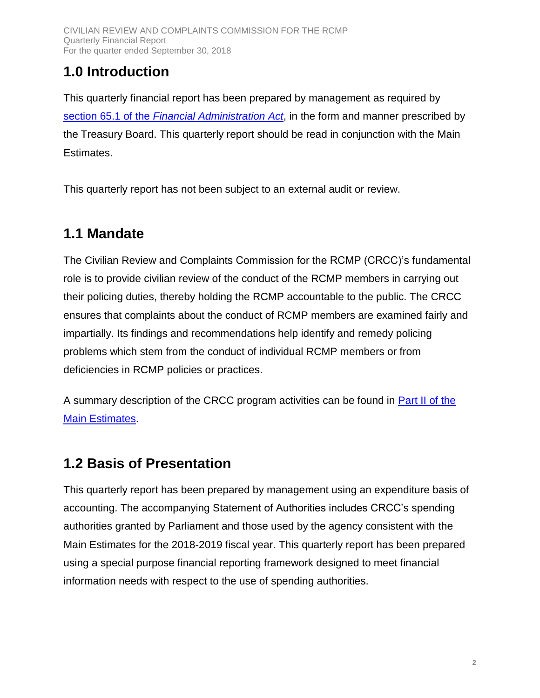## <span id="page-2-0"></span>**1.0 Introduction**

This quarterly financial report has been prepared by management as required by section 65.1 of the *[Financial Administration Act](http://laws-lois.justice.gc.ca/eng/acts/F-11/page-32.html?texthighlight=65.1#s-65.1)*, in the form and manner prescribed by the Treasury Board. This quarterly report should be read in conjunction with the Main Estimates.

This quarterly report has not been subject to an external audit or review.

## <span id="page-2-1"></span>**1.1 Mandate**

The Civilian Review and Complaints Commission for the RCMP (CRCC)'s fundamental role is to provide civilian review of the conduct of the RCMP members in carrying out their policing duties, thereby holding the RCMP accountable to the public. The CRCC ensures that complaints about the conduct of RCMP members are examined fairly and impartially. Its findings and recommendations help identify and remedy policing problems which stem from the conduct of individual RCMP members or from deficiencies in RCMP policies or practices.

A summary description of the CRCC program activities can be found in [Part II of the](https://www.canada.ca/en/treasury-board-secretariat/services/planned-government-spending/government-expenditure-plan-main-estimates.html)  [Main Estimates.](https://www.canada.ca/en/treasury-board-secretariat/services/planned-government-spending/government-expenditure-plan-main-estimates.html)

## <span id="page-2-2"></span>**1.2 Basis of Presentation**

This quarterly report has been prepared by management using an expenditure basis of accounting. The accompanying Statement of Authorities includes CRCC's spending authorities granted by Parliament and those used by the agency consistent with the Main Estimates for the 2018-2019 fiscal year. This quarterly report has been prepared using a special purpose financial reporting framework designed to meet financial information needs with respect to the use of spending authorities.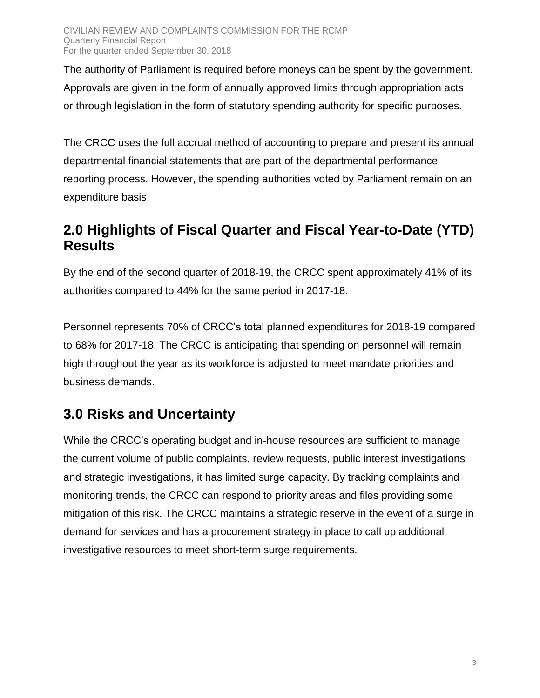The authority of Parliament is required before moneys can be spent by the government. Approvals are given in the form of annually approved limits through appropriation acts or through legislation in the form of statutory spending authority for specific purposes.

The CRCC uses the full accrual method of accounting to prepare and present its annual departmental financial statements that are part of the departmental performance reporting process. However, the spending authorities voted by Parliament remain on an expenditure basis.

#### <span id="page-3-0"></span>**2.0 Highlights of Fiscal Quarter and Fiscal Year-to-Date (YTD) Results**

By the end of the second quarter of 2018-19, the CRCC spent approximately 41% of its authorities compared to 44% for the same period in 2017-18.

Personnel represents 70% of CRCC's total planned expenditures for 2018-19 compared to 68% for 2017-18. The CRCC is anticipating that spending on personnel will remain high throughout the year as its workforce is adjusted to meet mandate priorities and business demands.

## <span id="page-3-1"></span>**3.0 Risks and Uncertainty**

While the CRCC's operating budget and in-house resources are sufficient to manage the current volume of public complaints, review requests, public interest investigations and strategic investigations, it has limited surge capacity. By tracking complaints and monitoring trends, the CRCC can respond to priority areas and files providing some mitigation of this risk. The CRCC maintains a strategic reserve in the event of a surge in demand for services and has a procurement strategy in place to call up additional investigative resources to meet short-term surge requirements.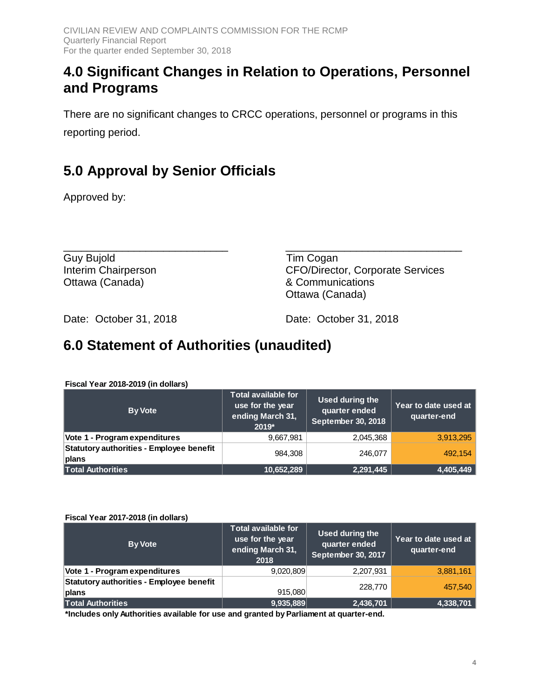#### <span id="page-4-0"></span>**4.0 Significant Changes in Relation to Operations, Personnel and Programs**

There are no significant changes to CRCC operations, personnel or programs in this reporting period.

## <span id="page-4-1"></span>**5.0 Approval by Senior Officials**

Approved by:

\_\_\_\_\_\_\_\_\_\_\_\_\_\_\_\_\_\_\_\_\_\_\_\_\_\_\_\_ \_\_\_\_\_\_\_\_\_\_\_\_\_\_\_\_\_\_\_\_\_\_\_\_\_\_\_\_\_\_ Guy Bujold **Tim Cogan** Ottawa (Canada) & Communications

Interim Chairperson CFO/Director, Corporate Services Ottawa (Canada)

Date: October 31, 2018 Date: October 31, 2018

#### <span id="page-4-2"></span>**6.0 Statement of Authorities (unaudited)**

| <b>By Vote</b>                                    | <b>Total available for</b><br>use for the year<br>ending March 31,<br>2019* | Used during the<br>quarter ended<br><b>September 30, 2018</b> | Year to date used at<br>quarter-end |
|---------------------------------------------------|-----------------------------------------------------------------------------|---------------------------------------------------------------|-------------------------------------|
| Vote 1 - Program expenditures                     | 9,667,981                                                                   | 2,045,368                                                     | 3,913,295                           |
| Statutory authorities - Employee benefit<br>plans | 984.308                                                                     | 246,077                                                       | 492.154                             |
| <b>Total Authorities</b>                          | 10,652,289                                                                  | 2,291,445                                                     | 4,405,449                           |

**Fiscal Year 2018-2019 (in dollars)**

**Fiscal Year 2017-2018 (in dollars)**

| <b>By Vote</b>                                    | <b>Total available for</b><br>use for the year<br>ending March 31,<br>2018 | Used during the<br>quarter ended<br>September 30, 2017 | Year to date used at<br>quarter-end |
|---------------------------------------------------|----------------------------------------------------------------------------|--------------------------------------------------------|-------------------------------------|
| Vote 1 - Program expenditures                     | 9,020,809                                                                  | 2,207,931                                              | 3,881,161                           |
| Statutory authorities - Employee benefit<br>plans | 915,080                                                                    | 228,770                                                | 457.540                             |
| <b>Total Authorities</b>                          | 9,935,889                                                                  | 2,436,701                                              | 4,338,701                           |

**\*Includes only Authorities available for use and granted by Parliament at quarter-end.**